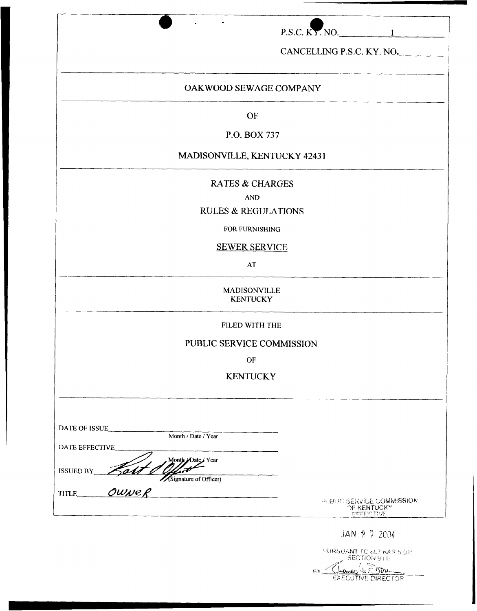|                                                           | $P.S.C. KY. NO.$ 1                                                  |
|-----------------------------------------------------------|---------------------------------------------------------------------|
|                                                           |                                                                     |
|                                                           | CANCELLING P.S.C. KY. NO.                                           |
| OAKWOOD SEWAGE COMPANY                                    |                                                                     |
| OF                                                        |                                                                     |
| P.O. BOX 737                                              |                                                                     |
| MADISONVILLE, KENTUCKY 42431                              |                                                                     |
| <b>RATES &amp; CHARGES</b>                                |                                                                     |
| <b>AND</b>                                                |                                                                     |
| <b>RULES &amp; REGULATIONS</b>                            |                                                                     |
| FOR FURNISHING                                            |                                                                     |
| <b>SEWER SERVICE</b>                                      |                                                                     |
| <b>AT</b>                                                 |                                                                     |
| MADISONVILLE<br><b>KENTUCKY</b>                           |                                                                     |
| FILED WITH THE                                            |                                                                     |
| PUBLIC SERVICE COMMISSION                                 |                                                                     |
| OF                                                        |                                                                     |
| <b>KENTUCKY</b>                                           |                                                                     |
|                                                           |                                                                     |
| DATE OF ISSUE                                             |                                                                     |
| Month / Date / Year<br>DATE EFFECTIVE                     |                                                                     |
| Month Date / Year                                         |                                                                     |
| Salt l<br><b>ISSUED BY</b><br>Signature of Officer)       |                                                                     |
| TITLE_<br><u> 1986 - John Stein, Amerikaansk kanton (</u> |                                                                     |
|                                                           | <b>PERFIC SERVICE COMMISSION</b><br>OF KENTUCKY<br><b>UFFECTIVE</b> |
|                                                           | $JAN$ 2 7 2004                                                      |

| PURSUANT TO 807 KAR 5 011 |
|---------------------------|
| <b>SECTION 971:</b>       |
| There le Son              |
| <b>EXECUTIVE DIRECTOR</b> |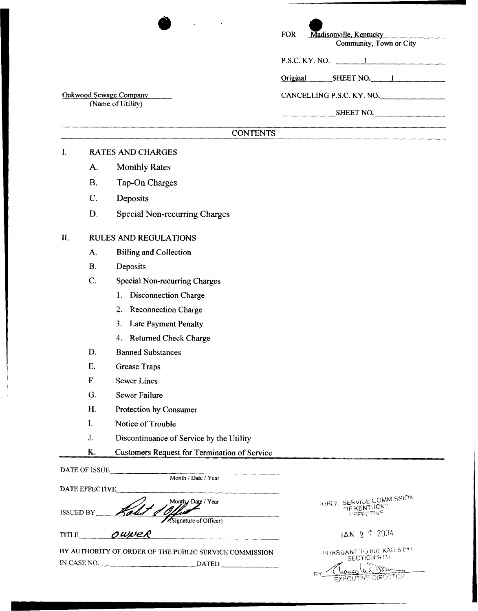| Madisonville, Kentucky<br><b>FOR</b><br>Community, Town or City |
|-----------------------------------------------------------------|
| P.S.C. KY. NO. $1$                                              |
| Original SHEET NO. 1                                            |
| CANCELLING P.S.C. KY. NO.                                       |
| SHEET NO.                                                       |
|                                                                 |

# **CONTENTS**

## **r. RATES AND CHARGES**

**Oakwood Sewage Companv**  (Name of **Utility)** 

- **A. Monthly Rates**
- **B. Tap-On Charges**
- **C. Deposits**
- **D. Special Non-recurring Charges**

## **11. RULES AND REGULATIONS**

- **A. Billing and Collection**
- **B. Deposits**
- C. **Special Non-recurring Charges** 
	- **1. Disconnection Charge**
	- **2. Reconnection Charge**
	- **3. Late Payment Penalty**
	- 4. Returned Check Charge
- **D. Banned Substances**
- **E. Grease Traps**
- **F. Sewer Lines**
- G. **Sewer Failure**
- **H. Protection by Consumer**
- **I. Notice of Trouble**
- J. **Discontinuance of Service by the Utility**

| Month / Date / Year   |                                                                                                                                                                                                                                                           |
|-----------------------|-----------------------------------------------------------------------------------------------------------------------------------------------------------------------------------------------------------------------------------------------------------|
|                       |                                                                                                                                                                                                                                                           |
| Month / Date / Year   | PUBLIC SERVICE COMMISSION<br>OF KENTUCKY<br>EFFECTIVE                                                                                                                                                                                                     |
|                       | JAN 2 7 2004                                                                                                                                                                                                                                              |
|                       | PURSUANT TO 807 KAR 5:011<br>SECTION 9 (1)<br>Chance U.S<br><b>TIVE DIRECTOR</b>                                                                                                                                                                          |
| <b>DATE EFFECTIVE</b> | Protection by Consumer<br>Notice of Trouble<br>Discontinuance of Service by the Utility<br><b>Customers Request for Termination of Service</b><br>Signature of Officer)<br>OWNER<br>BY AUTHORITY OF ORDER OF THE PUBLIC SERVICE COMMISSION<br>IN CASE NO. |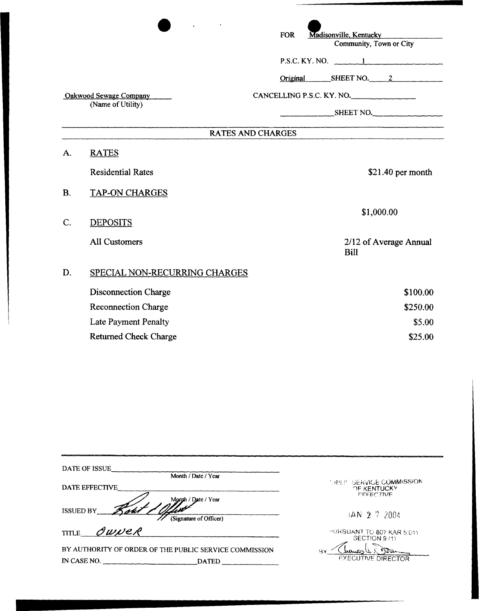|                                             |                               | Madisonville, Kentucky<br><b>FOR</b><br>Community, Town or City |
|---------------------------------------------|-------------------------------|-----------------------------------------------------------------|
|                                             |                               | $P.S.C. KY. NO.$ 1                                              |
|                                             |                               | Original SHEET NO. 2                                            |
| Oakwood Sewage Company<br>(Name of Utility) |                               | CANCELLING P.S.C. KY. NO.                                       |
|                                             |                               | SHEET NO.                                                       |
|                                             |                               | <b>RATES AND CHARGES</b>                                        |
| A.                                          | <b>RATES</b>                  |                                                                 |
|                                             | <b>Residential Rates</b>      | \$21.40 per month                                               |
| <b>B.</b>                                   | <b>TAP-ON CHARGES</b>         |                                                                 |
| C.                                          | <b>DEPOSITS</b>               | \$1,000.00                                                      |
|                                             | <b>All Customers</b>          | 2/12 of Average Annual<br><b>Bill</b>                           |
| D.                                          | SPECIAL NON-RECURRING CHARGES |                                                                 |
|                                             | Disconnection Charge          | \$100.00                                                        |
|                                             | Reconnection Charge           | \$250.00                                                        |
|                                             | <b>Late Payment Penalty</b>   | \$5.00                                                          |
|                                             | <b>Returned Check Charge</b>  | \$25.00                                                         |

| DATE OF ISSUE                                          |                        |                                                |
|--------------------------------------------------------|------------------------|------------------------------------------------|
|                                                        | Month / Date / Year    |                                                |
| DATE EFFECTIVE                                         |                        | <b>NHELF SERVICE COMMISSION</b><br>OF KENTUCKY |
|                                                        | Month / Date / Year    | <b>FEEECTIVE</b>                               |
| <b>ISSUED BY</b>                                       | (Signature of Officer) | $3AN$ 2 7 2004                                 |
| OWNER<br><b>TITLE</b>                                  |                        | HURSUANT TO 807 KAR 5:011<br>SECTION 9/1)      |
| BY AUTHORITY OF ORDER OF THE PUBLIC SERVICE COMMISSION |                        | R٧                                             |
| IN CASE NO.                                            | <b>DATED</b>           | <b>EXECUTIVE DIRECTOR</b>                      |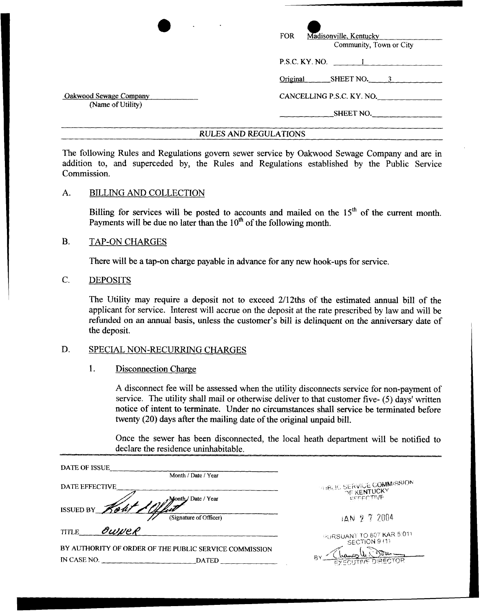| $\bullet$<br>$\bullet$                      | Madisonville, Kentucky<br><b>FOR</b><br>Community, Town or City |  |
|---------------------------------------------|-----------------------------------------------------------------|--|
|                                             | $P.S.C.$ KY. NO. $\qquad \qquad 1$                              |  |
|                                             | SHEET NO. $\frac{3}{2}$<br>Original                             |  |
| Oakwood Sewage Company<br>(Name of Utility) | CANCELLING P.S.C. KY. NO.                                       |  |
|                                             | SHEET NO.                                                       |  |
|                                             |                                                                 |  |

#### **RULES AND REGULATIONS**

The following, Rules and Regulations govern sewer service by Oakwood Sewage Company and are in addition to, and superceded by, the Rules and Regulations established by the Public Service Commission.

#### A. BILLING AND COLLECTION

Billing for services will be posted to accounts and mailed on the 15<sup>th</sup> of the current month. Payments will be due no later than the  $10<sup>th</sup>$  of the following month.

#### B. TAP-ON CHARGES

There will be a tap-on charge payable in advance for any new hook-ups for service.

C. DEPOSITS

> The Utility may require a deposit not to exceed 2/12ths of the estimated annual bill of the applicant for service. Interest will accrue on the deposit at the rate prescribed by law and will be refunded on **an** annual basis, unless the customer's bill is delinquent on the anniversary date of the deposit.

#### D. SPECIAL NON-RECURRING CHARGES

### 1. Disconnection Charge

**A,** disconnect fee will be assessed when the utility disconnects service for non-payment of service. The utility shall mail or otherwise deliver to that customer five- (5) days' written notice of intent to terminate. Under no circumstances shall service be terminated before twenty (20) days after the mailing date of the original unpaid bill.

Once the sewer has been disconnected, the local heath department will be notified to declare the residence uninhabitable.

| DATE OF ISSUE                                          |                                                        |
|--------------------------------------------------------|--------------------------------------------------------|
| Month / Date / Year                                    |                                                        |
| DATE EFFECTIVE                                         | <b>PATRUE SERVICE COMMISSION</b><br><b>TE KENTUCKY</b> |
| Month/Date / Year                                      | <b>EFFECTIVE</b>                                       |
| ISSUED BY Rout<br>(Signature of Officer)               | $14N$ 2 7 2004                                         |
| OUWER<br><b>TITLE</b>                                  | PURSUANT TO 807 KAR 5:011                              |
| BY AUTHORITY OF ORDER OF THE PUBLIC SERVICE COMMISSION | SECTION 9(1)                                           |
| IN CASE NO.<br><b>DATED</b>                            | RΥ<br>EXECUTIVE DIRECTOR                               |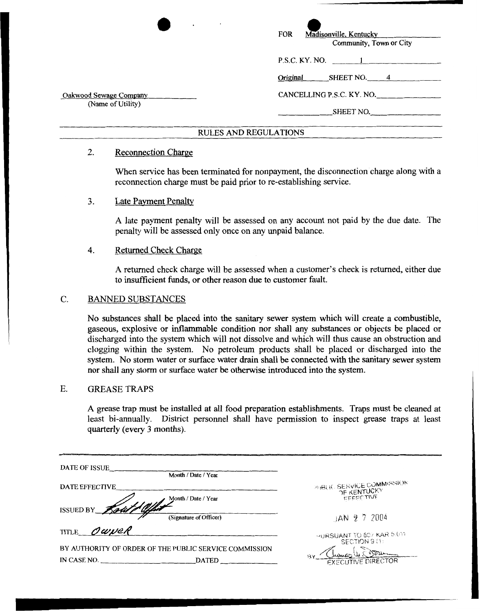| $\bullet$                                   | $\bullet$<br>Madisonville, Kentucky<br><b>FOR</b><br>Community, Town or City |  |
|---------------------------------------------|------------------------------------------------------------------------------|--|
|                                             | P.S.C. KY. NO. 1                                                             |  |
|                                             | SHEET NO. $\qquad 4$<br>Original                                             |  |
| Oakwood Sewage Company<br>(Name of Utility) | CANCELLING P.S.C. KY. NO.                                                    |  |
|                                             | SHEET NO.                                                                    |  |
| <b>RULES AND REGULATIONS</b>                |                                                                              |  |

## 2. Reconnection Charge

When service has been terminated for nonpayment, the disconnection charge along with a reconnection charge must be paid prior to re-establishing service.

# **3.** Late Payment Penalty

**A** late payment penalty will be assessed on any account not paid by the due date. The penalty will be assessed only once on any unpaid balance.

# **4.** Returned Check Charge

**A** returned check charge will be assessed when a customer's check is returned, either due to insufficient funds, or other reason due to customer fault.

# C. BANNED **SUBSTANCES**

No substances shall be placed into the sanitary sewer system which will create a combustible, gaseous, explosive or inflammable condition nor shall any substances or objects be placed or discharged into the system which will not dissolve and which will thus cause an obstruction and clogging within the system. No petroleum products shall be placed or discharged into the system. No storm water or surface water drain shall be connected with the sanitary sewer system nor shall any storm or surface water be otherwise introduced into the system.

### E. **GREASE** TRAPS

**A** grease trap must be installed at all food preparation establishments. Traps must be cleaned at least bi-annually. District personnel shall have permission to inspect grease traps at least quarterly (every **3** months).

| DATE OF ISSUE<br>Month / Date / Year                                                  |                                                              |
|---------------------------------------------------------------------------------------|--------------------------------------------------------------|
| DATE EFFECTIVE<br>Month / Date / Year                                                 | <b>PHBLIC SERVICE COMMISSION</b><br>OF KENTUCKY<br>EFFECTIVE |
| ISSUED BY Rout & Ollis<br>(Signature of Officer)                                      | $JAN$ 2 7 2004                                               |
| TITLE OWNER                                                                           | PURSUANT TO 807 KAR 5:011<br>SECTION 9 (1)                   |
| BY AUTHORITY OF ORDER OF THE PUBLIC SERVICE COMMISSION<br>IN CASE NO.<br><b>DATED</b> | RΥ<br><b>EXECUTIVE DIRECTOR</b>                              |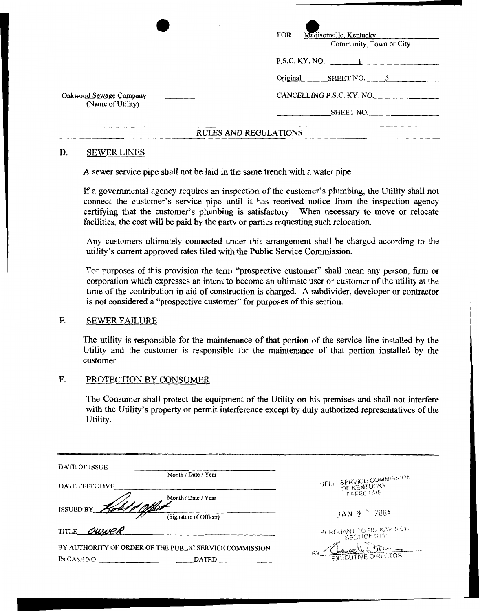| <b>Contract Contract Street</b><br>$\sim$   | <b>FOR</b><br>Madisonville, Kentucky<br>Community, Town or City |  |
|---------------------------------------------|-----------------------------------------------------------------|--|
|                                             |                                                                 |  |
|                                             | Original SHEET NO. 5                                            |  |
| Oakwood Sewage Company<br>(Name of Utility) | CANCELLING P.S.C. KY. NO.                                       |  |
|                                             | SHEET NO.                                                       |  |
| <b>RULES AND REGULATIONS</b>                |                                                                 |  |

# D. SEWER LINES

**A** sewer service pipe **shall** not be laid in the same trench with a water pipe.

If a governmental agency requires an inspection of the customer's plumbing, the Utility shall not connect the customer's service pipe until it has received notice from the inspection agency certifying that the customer's plumbing is satisfactory. When necessary to move or relocate facilities:, the cost will be paid by the **party** or parties requesting such relocation.

Any customers ultimately connected under this arrangement shall be charged according to the utility's current approved rates filed with the Public Service Commission.

For purposes **of** this provision the term "prospective customer" shall mean any person, firm or corporation which expresses **an** intent to become an ultimate user or customer of the utility at the time **of** the contribution in aid of construction is charged. **A** subdivider, developer or contractor is not considered a "prospective customer" for purposes of this section.

## E. SEWER FAILURE

The utility is responsible **for** the maintenance of that portion of the service line installed **by** the Utility and the customer is responsible for the maintenance of that portion installed by the customer.

## F. PROTECTION BY CONSUMER

The Consumer shall protect the equipment of the Utility on his premises and shall not interfere with the Utility's property or permit interference except by duly authorized representatives of the Utility.

| DATE OF ISSUE                                          | Month / Date / Year    |                            |
|--------------------------------------------------------|------------------------|----------------------------|
| DATE EFFECTIVE                                         |                        | PLIBLIC SERVICE COMMISSION |
|                                                        | Month / Date / Year    | <b>EFFECTIVE</b>           |
| ISSUED BY Kout                                         | (Signature of Officer) | JAN 27 2004                |
| TITLE OWNER                                            |                        | PURSUANT TO 807 KAR 5:011  |
| BY AUTHORITY OF ORDER OF THE PUBLIC SERVICE COMMISSION |                        |                            |
| IN CASE NO.                                            | <b>DATED</b>           | <b>EXECUTIVE DIRECTOR</b>  |